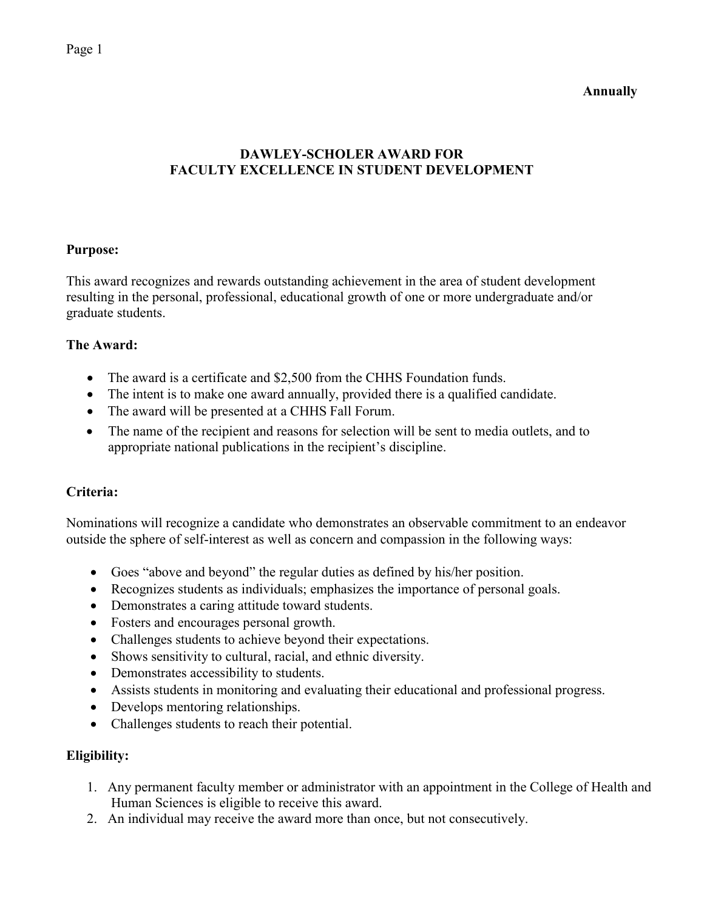**Annually** 

# **DAWLEY-SCHOLER AWARD FOR FACULTY EXCELLENCE IN STUDENT DEVELOPMENT**

### **Purpose:**

This award recognizes and rewards outstanding achievement in the area of student development resulting in the personal, professional, educational growth of one or more undergraduate and/or graduate students.

### **The Award:**

- The award is a certificate and \$2,500 from the CHHS Foundation funds.
- The intent is to make one award annually, provided there is a qualified candidate.
- The award will be presented at a CHHS Fall Forum.
- The name of the recipient and reasons for selection will be sent to media outlets, and to appropriate national publications in the recipient's discipline.

## **Criteria:**

Nominations will recognize a candidate who demonstrates an observable commitment to an endeavor outside the sphere of self-interest as well as concern and compassion in the following ways:

- Goes "above and beyond" the regular duties as defined by his/her position.
- Recognizes students as individuals; emphasizes the importance of personal goals.
- Demonstrates a caring attitude toward students.
- Fosters and encourages personal growth.
- Challenges students to achieve beyond their expectations.
- Shows sensitivity to cultural, racial, and ethnic diversity.
- Demonstrates accessibility to students.
- Assists students in monitoring and evaluating their educational and professional progress.
- Develops mentoring relationships.
- Challenges students to reach their potential.

#### **Eligibility:**

- 1. Any permanent faculty member or administrator with an appointment in the College of Health and Human Sciences is eligible to receive this award.
- 2. An individual may receive the award more than once, but not consecutively.